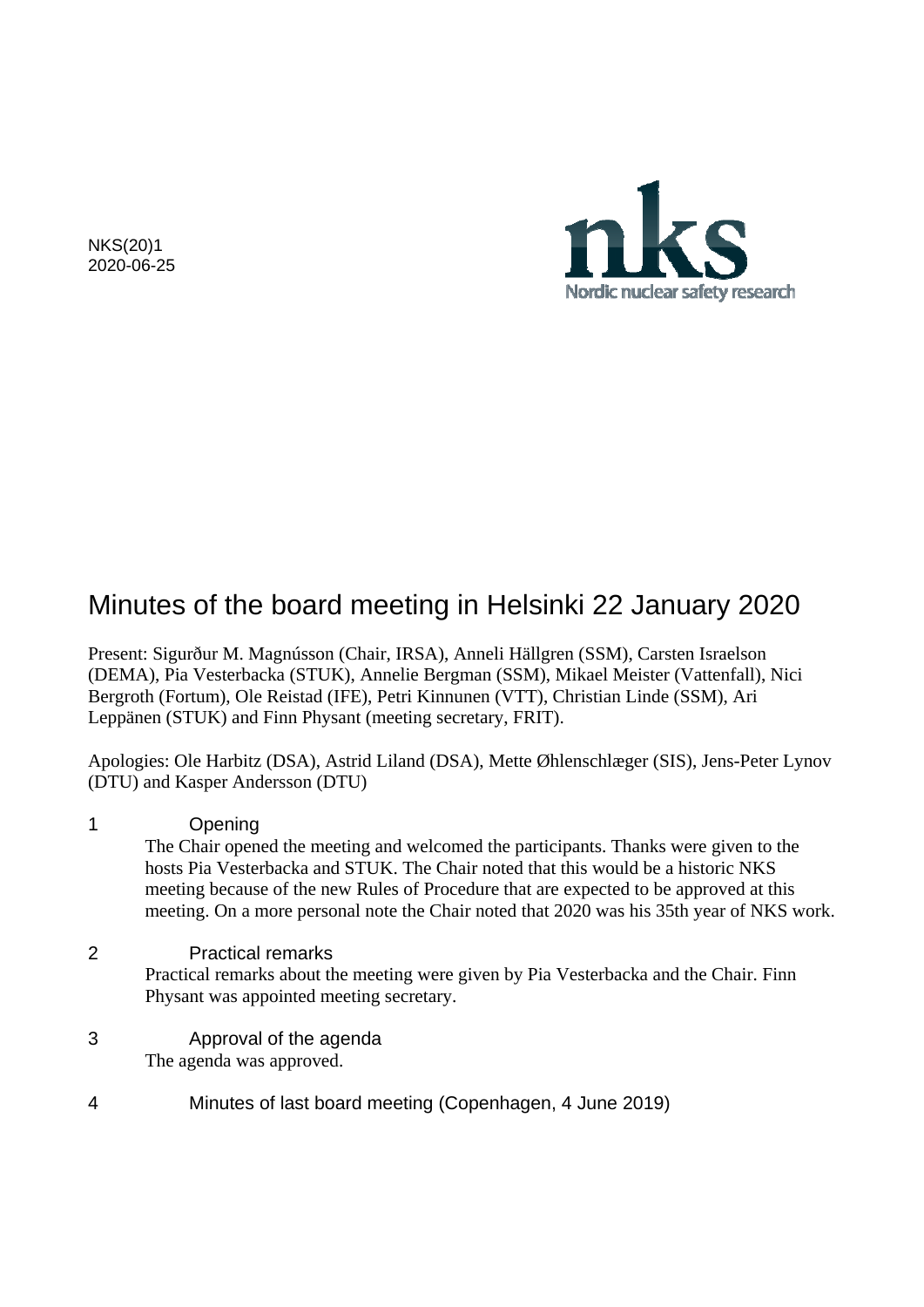NKS(20)1 2020-06-25



# Minutes of the board meeting in Helsinki 22 January 2020

Present: Sigurður M. Magnússon (Chair, IRSA), Anneli Hällgren (SSM), Carsten Israelson (DEMA), Pia Vesterbacka (STUK), Annelie Bergman (SSM), Mikael Meister (Vattenfall), Nici Bergroth (Fortum), Ole Reistad (IFE), Petri Kinnunen (VTT), Christian Linde (SSM), Ari Leppänen (STUK) and Finn Physant (meeting secretary, FRIT).

Apologies: Ole Harbitz (DSA), Astrid Liland (DSA), Mette Øhlenschlæger (SIS), Jens-Peter Lynov (DTU) and Kasper Andersson (DTU)

1 Opening The Chair opened the meeting and welcomed the participants. Thanks were given to the hosts Pia Vesterbacka and STUK. The Chair noted that this would be a historic NKS meeting because of the new Rules of Procedure that are expected to be approved at this meeting. On a more personal note the Chair noted that 2020 was his 35th year of NKS work.

2 Practical remarks Practical remarks about the meeting were given by Pia Vesterbacka and the Chair. Finn Physant was appointed meeting secretary.

- 3 Approval of the agenda The agenda was approved.
- 4 Minutes of last board meeting (Copenhagen, 4 June 2019)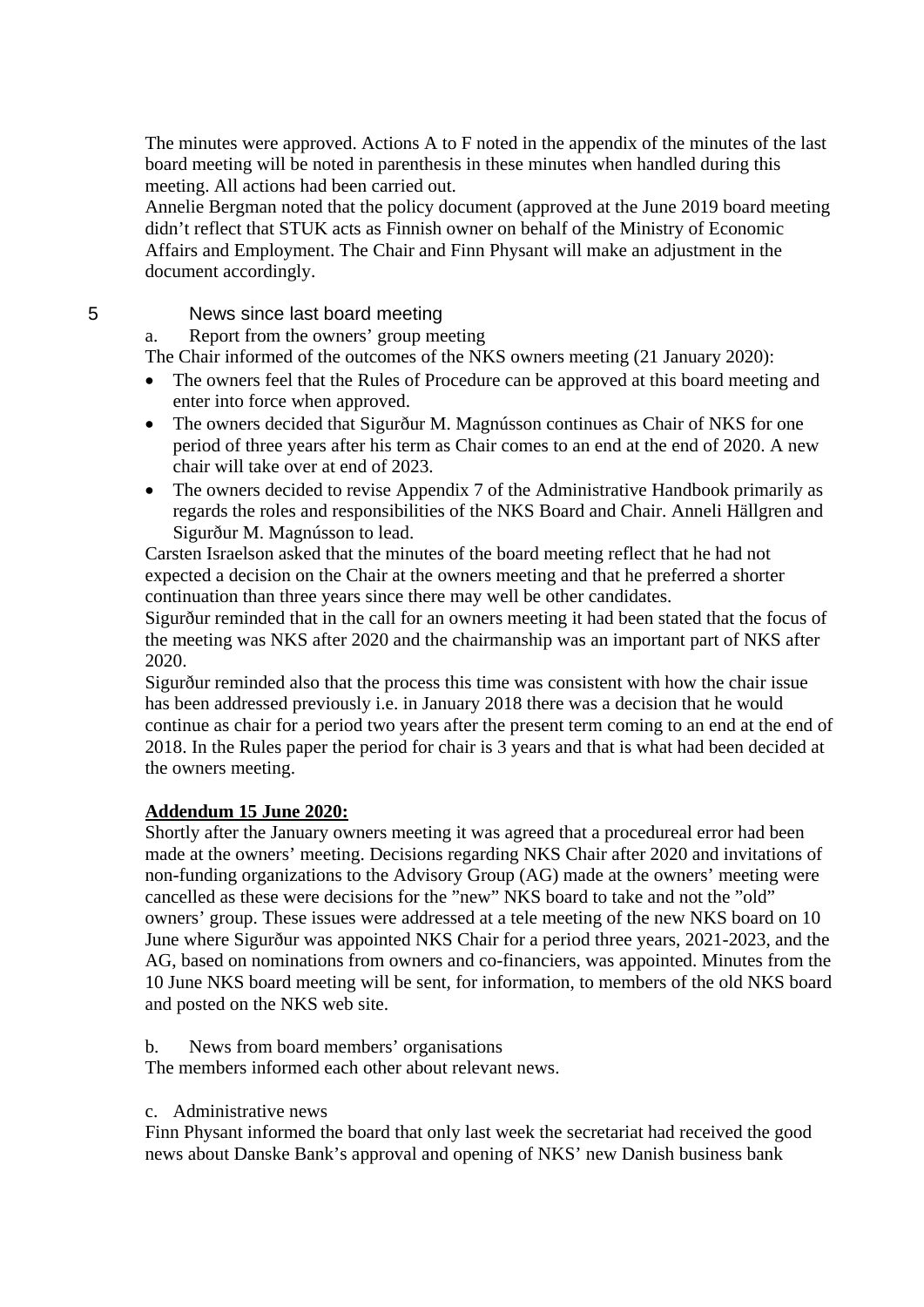The minutes were approved. Actions A to F noted in the appendix of the minutes of the last board meeting will be noted in parenthesis in these minutes when handled during this meeting. All actions had been carried out.

Annelie Bergman noted that the policy document (approved at the June 2019 board meeting didn't reflect that STUK acts as Finnish owner on behalf of the Ministry of Economic Affairs and Employment. The Chair and Finn Physant will make an adjustment in the document accordingly.

# 5 News since last board meeting

a. Report from the owners' group meeting

The Chair informed of the outcomes of the NKS owners meeting (21 January 2020):

- The owners feel that the Rules of Procedure can be approved at this board meeting and enter into force when approved.
- The owners decided that Sigurður M. Magnússon continues as Chair of NKS for one period of three years after his term as Chair comes to an end at the end of 2020. A new chair will take over at end of 2023.
- The owners decided to revise Appendix 7 of the Administrative Handbook primarily as regards the roles and responsibilities of the NKS Board and Chair. Anneli Hällgren and Sigurður M. Magnússon to lead.

Carsten Israelson asked that the minutes of the board meeting reflect that he had not expected a decision on the Chair at the owners meeting and that he preferred a shorter continuation than three years since there may well be other candidates.

Sigurður reminded that in the call for an owners meeting it had been stated that the focus of the meeting was NKS after 2020 and the chairmanship was an important part of NKS after 2020.

Sigurður reminded also that the process this time was consistent with how the chair issue has been addressed previously i.e. in January 2018 there was a decision that he would continue as chair for a period two years after the present term coming to an end at the end of 2018. In the Rules paper the period for chair is 3 years and that is what had been decided at the owners meeting.

# **Addendum 15 June 2020:**

Shortly after the January owners meeting it was agreed that a procedureal error had been made at the owners' meeting. Decisions regarding NKS Chair after 2020 and invitations of non-funding organizations to the Advisory Group (AG) made at the owners' meeting were cancelled as these were decisions for the "new" NKS board to take and not the "old" owners' group. These issues were addressed at a tele meeting of the new NKS board on 10 June where Sigurður was appointed NKS Chair for a period three years, 2021-2023, and the AG, based on nominations from owners and co-financiers, was appointed. Minutes from the 10 June NKS board meeting will be sent, for information, to members of the old NKS board and posted on the NKS web site.

b. News from board members' organisations

The members informed each other about relevant news.

c. Administrative news

Finn Physant informed the board that only last week the secretariat had received the good news about Danske Bank's approval and opening of NKS' new Danish business bank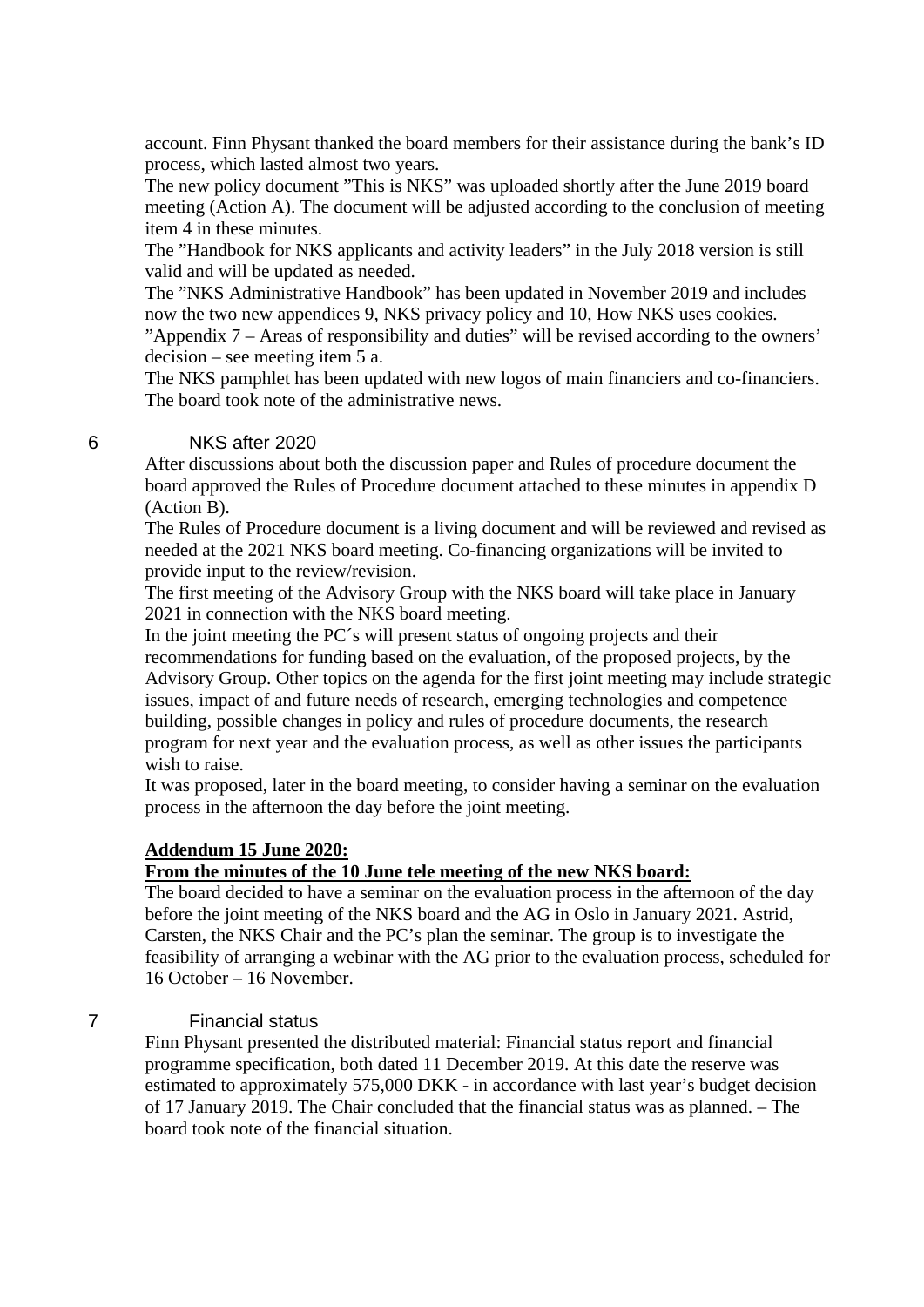account. Finn Physant thanked the board members for their assistance during the bank's ID process, which lasted almost two years.

The new policy document "This is NKS" was uploaded shortly after the June 2019 board meeting (Action A). The document will be adjusted according to the conclusion of meeting item 4 in these minutes.

The "Handbook for NKS applicants and activity leaders" in the July 2018 version is still valid and will be updated as needed.

The "NKS Administrative Handbook" has been updated in November 2019 and includes now the two new appendices 9, NKS privacy policy and 10, How NKS uses cookies.

"Appendix 7 – Areas of responsibility and duties" will be revised according to the owners' decision – see meeting item 5 a.

The NKS pamphlet has been updated with new logos of main financiers and co-financiers. The board took note of the administrative news.

### 6 NKS after 2020

After discussions about both the discussion paper and Rules of procedure document the board approved the Rules of Procedure document attached to these minutes in appendix D (Action B).

The Rules of Procedure document is a living document and will be reviewed and revised as needed at the 2021 NKS board meeting. Co-financing organizations will be invited to provide input to the review/revision.

The first meeting of the Advisory Group with the NKS board will take place in January 2021 in connection with the NKS board meeting.

In the joint meeting the PC´s will present status of ongoing projects and their recommendations for funding based on the evaluation, of the proposed projects, by the Advisory Group. Other topics on the agenda for the first joint meeting may include strategic issues, impact of and future needs of research, emerging technologies and competence building, possible changes in policy and rules of procedure documents, the research program for next year and the evaluation process, as well as other issues the participants wish to raise.

It was proposed, later in the board meeting, to consider having a seminar on the evaluation process in the afternoon the day before the joint meeting.

# **Addendum 15 June 2020:**

#### **From the minutes of the 10 June tele meeting of the new NKS board:**

The board decided to have a seminar on the evaluation process in the afternoon of the day before the joint meeting of the NKS board and the AG in Oslo in January 2021. Astrid, Carsten, the NKS Chair and the PC's plan the seminar. The group is to investigate the feasibility of arranging a webinar with the AG prior to the evaluation process, scheduled for 16 October – 16 November.

### 7 Financial status

Finn Physant presented the distributed material: Financial status report and financial programme specification, both dated 11 December 2019. At this date the reserve was estimated to approximately 575,000 DKK - in accordance with last year's budget decision of 17 January 2019. The Chair concluded that the financial status was as planned. – The board took note of the financial situation.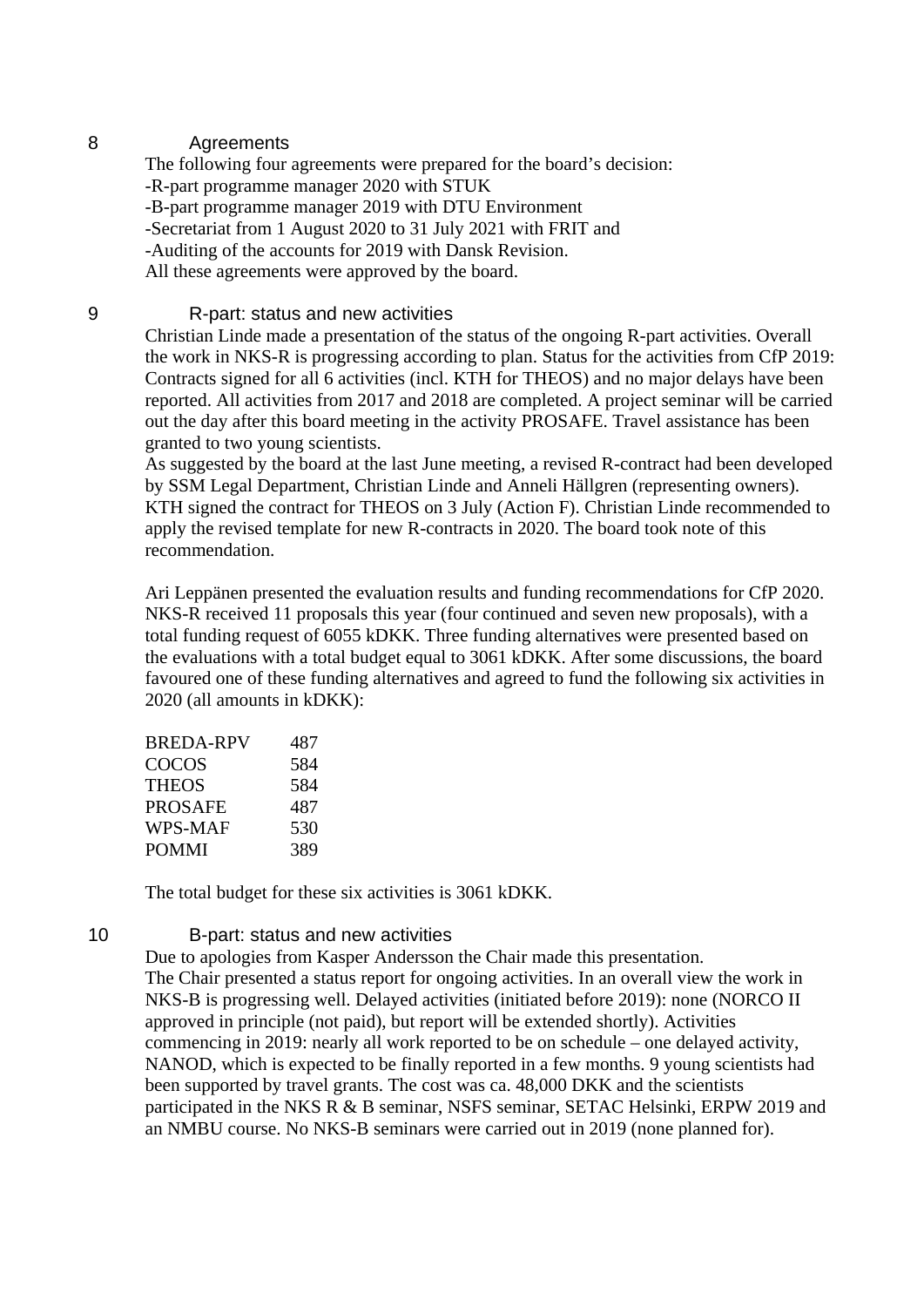# 8 Agreements

The following four agreements were prepared for the board's decision: -R-part programme manager 2020 with STUK -B-part programme manager 2019 with DTU Environment -Secretariat from 1 August 2020 to 31 July 2021 with FRIT and -Auditing of the accounts for 2019 with Dansk Revision. All these agreements were approved by the board.

# 9 R-part: status and new activities

Christian Linde made a presentation of the status of the ongoing R-part activities. Overall the work in NKS-R is progressing according to plan. Status for the activities from CfP 2019: Contracts signed for all 6 activities (incl. KTH for THEOS) and no major delays have been reported. All activities from 2017 and 2018 are completed. A project seminar will be carried out the day after this board meeting in the activity PROSAFE. Travel assistance has been granted to two young scientists.

As suggested by the board at the last June meeting, a revised R-contract had been developed by SSM Legal Department, Christian Linde and Anneli Hällgren (representing owners). KTH signed the contract for THEOS on 3 July (Action F). Christian Linde recommended to apply the revised template for new R-contracts in 2020. The board took note of this recommendation.

Ari Leppänen presented the evaluation results and funding recommendations for CfP 2020. NKS-R received 11 proposals this year (four continued and seven new proposals), with a total funding request of 6055 kDKK. Three funding alternatives were presented based on the evaluations with a total budget equal to 3061 kDKK. After some discussions, the board favoured one of these funding alternatives and agreed to fund the following six activities in 2020 (all amounts in kDKK):

| BREDA-RPV | 487 |
|-----------|-----|
| COCOS     | 584 |
| THEOS     | 584 |
| PROSAFE   | 487 |
| WPS-MAF   | 530 |
| POMMI     | 389 |

The total budget for these six activities is 3061 kDKK.

### 10 B-part: status and new activities

Due to apologies from Kasper Andersson the Chair made this presentation. The Chair presented a status report for ongoing activities. In an overall view the work in NKS-B is progressing well. Delayed activities (initiated before 2019): none (NORCO II approved in principle (not paid), but report will be extended shortly). Activities commencing in 2019: nearly all work reported to be on schedule – one delayed activity, NANOD, which is expected to be finally reported in a few months. 9 young scientists had been supported by travel grants. The cost was ca. 48,000 DKK and the scientists participated in the NKS R & B seminar, NSFS seminar, SETAC Helsinki, ERPW 2019 and an NMBU course. No NKS-B seminars were carried out in 2019 (none planned for).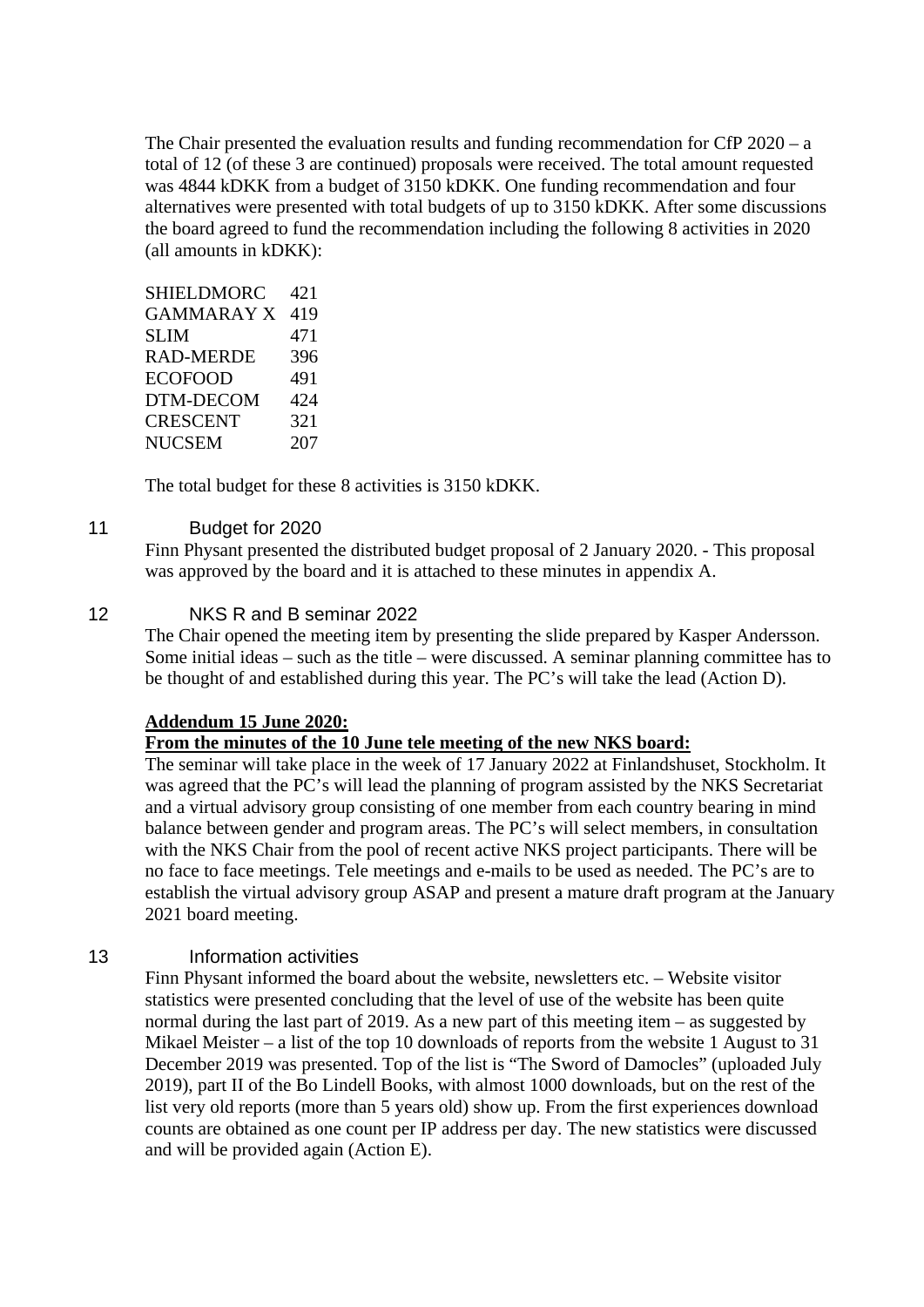The Chair presented the evaluation results and funding recommendation for CfP 2020 – a total of 12 (of these 3 are continued) proposals were received. The total amount requested was 4844 kDKK from a budget of 3150 kDKK. One funding recommendation and four alternatives were presented with total budgets of up to 3150 kDKK. After some discussions the board agreed to fund the recommendation including the following 8 activities in 2020 (all amounts in kDKK):

| <b>SHIELDMORC</b> | 421 |
|-------------------|-----|
| <b>GAMMARAY X</b> | 419 |
| SLIM              | 471 |
| RAD-MERDE         | 396 |
| <b>ECOFOOD</b>    | 491 |
| DTM-DECOM         | 424 |
| CRESCENT          | 321 |
| <b>NUCSEM</b>     | 207 |

The total budget for these 8 activities is 3150 kDKK.

### 11 Budget for 2020

Finn Physant presented the distributed budget proposal of 2 January 2020. - This proposal was approved by the board and it is attached to these minutes in appendix A.

# 12 NKS R and B seminar 2022

The Chair opened the meeting item by presenting the slide prepared by Kasper Andersson. Some initial ideas – such as the title – were discussed. A seminar planning committee has to be thought of and established during this year. The PC's will take the lead (Action D).

### **Addendum 15 June 2020:**

### **From the minutes of the 10 June tele meeting of the new NKS board:**

The seminar will take place in the week of 17 January 2022 at Finlandshuset, Stockholm. It was agreed that the PC's will lead the planning of program assisted by the NKS Secretariat and a virtual advisory group consisting of one member from each country bearing in mind balance between gender and program areas. The PC's will select members, in consultation with the NKS Chair from the pool of recent active NKS project participants. There will be no face to face meetings. Tele meetings and e-mails to be used as needed. The PC's are to establish the virtual advisory group ASAP and present a mature draft program at the January 2021 board meeting.

### 13 Information activities

Finn Physant informed the board about the website, newsletters etc. – Website visitor statistics were presented concluding that the level of use of the website has been quite normal during the last part of 2019. As a new part of this meeting item – as suggested by Mikael Meister – a list of the top 10 downloads of reports from the website 1 August to 31 December 2019 was presented. Top of the list is "The Sword of Damocles" (uploaded July 2019), part II of the Bo Lindell Books, with almost 1000 downloads, but on the rest of the list very old reports (more than 5 years old) show up. From the first experiences download counts are obtained as one count per IP address per day. The new statistics were discussed and will be provided again (Action E).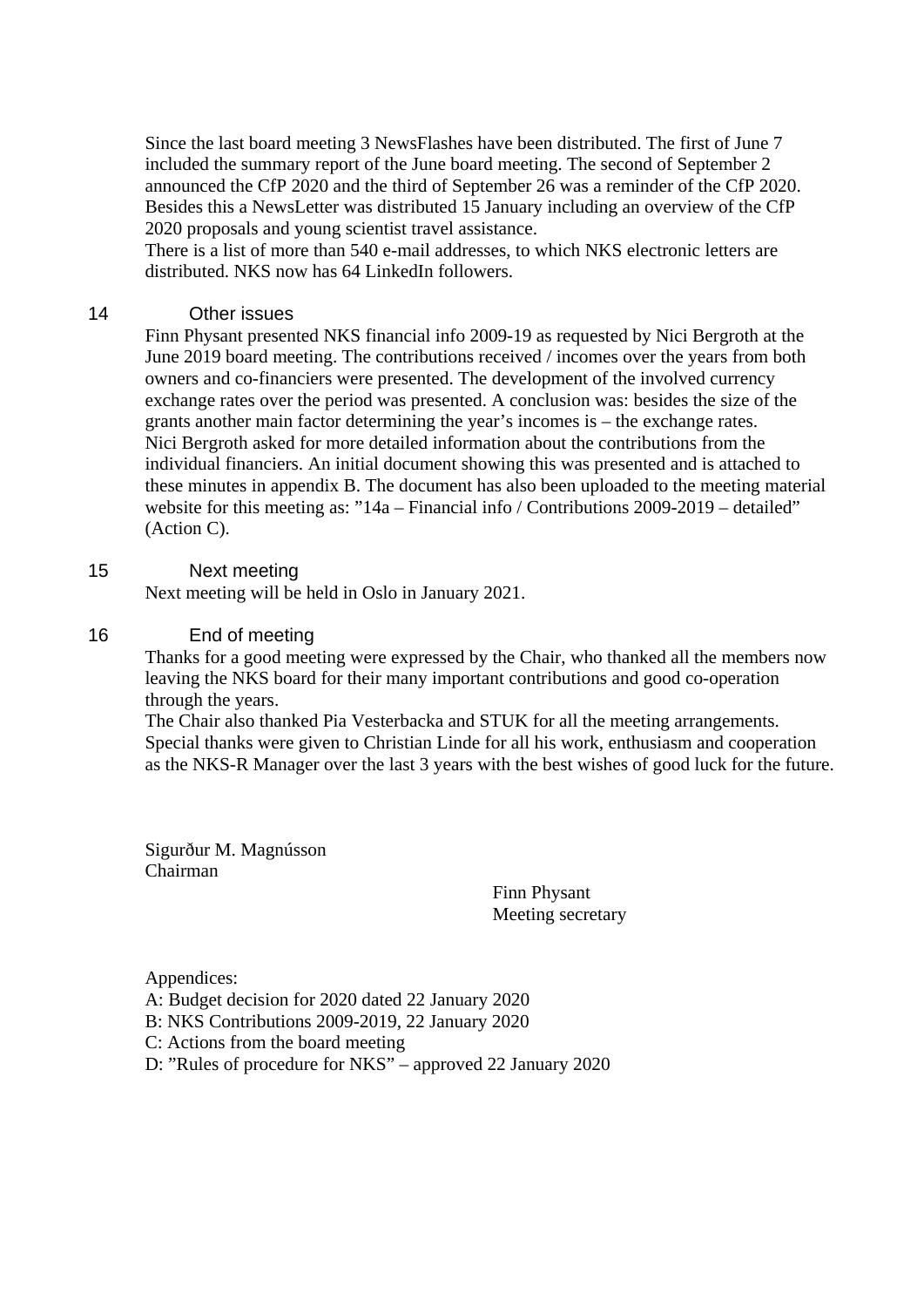Since the last board meeting 3 NewsFlashes have been distributed. The first of June 7 included the summary report of the June board meeting. The second of September 2 announced the CfP 2020 and the third of September 26 was a reminder of the CfP 2020. Besides this a NewsLetter was distributed 15 January including an overview of the CfP 2020 proposals and young scientist travel assistance.

There is a list of more than 540 e-mail addresses, to which NKS electronic letters are distributed. NKS now has 64 LinkedIn followers.

### 14 Other issues

Finn Physant presented NKS financial info 2009-19 as requested by Nici Bergroth at the June 2019 board meeting. The contributions received / incomes over the years from both owners and co-financiers were presented. The development of the involved currency exchange rates over the period was presented. A conclusion was: besides the size of the grants another main factor determining the year's incomes is – the exchange rates. Nici Bergroth asked for more detailed information about the contributions from the individual financiers. An initial document showing this was presented and is attached to these minutes in appendix B. The document has also been uploaded to the meeting material website for this meeting as: "14a – Financial info / Contributions 2009-2019 – detailed" (Action C).

# 15 Next meeting

Next meeting will be held in Oslo in January 2021.

# 16 End of meeting

Thanks for a good meeting were expressed by the Chair, who thanked all the members now leaving the NKS board for their many important contributions and good co-operation through the years.

The Chair also thanked Pia Vesterbacka and STUK for all the meeting arrangements. Special thanks were given to Christian Linde for all his work, enthusiasm and cooperation as the NKS-R Manager over the last 3 years with the best wishes of good luck for the future.

Sigurður M. Magnússon Chairman

Finn Physant Meeting secretary

Appendices: A: Budget decision for 2020 dated 22 January 2020 B: NKS Contributions 2009-2019, 22 January 2020

C: Actions from the board meeting

D: "Rules of procedure for NKS" – approved 22 January 2020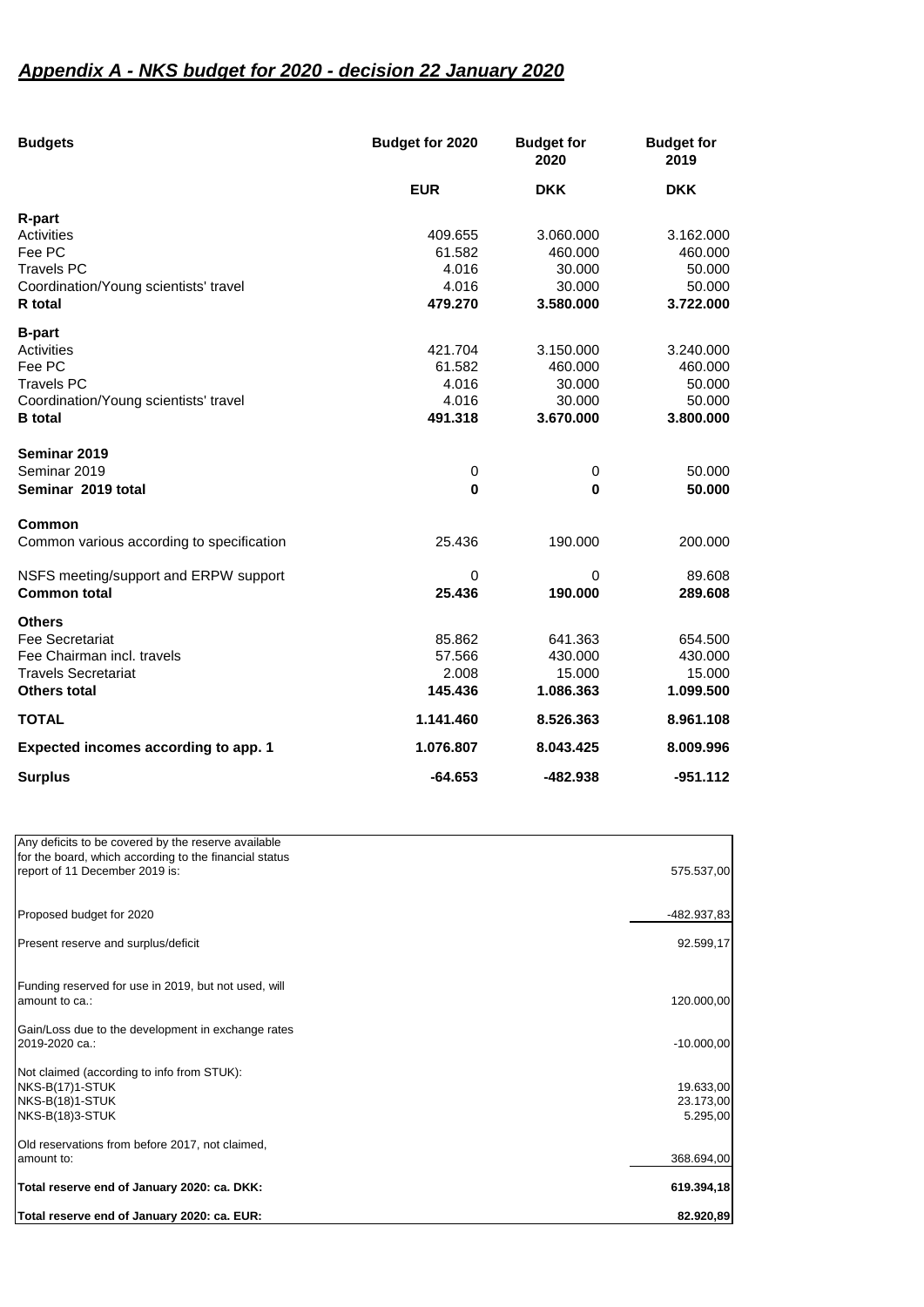# *Appendix A - NKS budget for 2020 - decision 22 January 2020*

| <b>Budgets</b>                            | Budget for 2020 | <b>Budget for</b><br>2020 | <b>Budget for</b><br>2019 |  |
|-------------------------------------------|-----------------|---------------------------|---------------------------|--|
|                                           | <b>EUR</b>      | <b>DKK</b>                | <b>DKK</b>                |  |
| <b>R-part</b>                             |                 |                           |                           |  |
| Activities                                | 409.655         | 3.060.000                 | 3.162.000                 |  |
| Fee PC                                    | 61.582          | 460.000                   | 460.000                   |  |
| <b>Travels PC</b>                         | 4.016           | 30.000                    | 50.000                    |  |
| Coordination/Young scientists' travel     | 4.016           | 30.000                    | 50.000                    |  |
| <b>R</b> total                            | 479.270         | 3.580.000                 | 3.722.000                 |  |
| <b>B-part</b>                             |                 |                           |                           |  |
| Activities                                | 421.704         | 3.150.000                 | 3.240.000                 |  |
| Fee PC                                    | 61.582          | 460.000                   | 460.000                   |  |
| <b>Travels PC</b>                         | 4.016           | 30.000                    | 50.000                    |  |
| Coordination/Young scientists' travel     | 4.016           | 30.000                    | 50.000                    |  |
| <b>B</b> total                            | 491.318         | 3.670.000                 | 3.800.000                 |  |
| Seminar 2019                              |                 |                           |                           |  |
| Seminar 2019                              | 0               | 0                         | 50.000                    |  |
| Seminar 2019 total                        | $\bf{0}$        | $\bf{0}$                  | 50.000                    |  |
| <b>Common</b>                             |                 |                           |                           |  |
| Common various according to specification | 25.436          | 190.000                   | 200.000                   |  |
| NSFS meeting/support and ERPW support     | 0               | 0                         | 89.608                    |  |
| <b>Common total</b>                       | 25.436          | 190.000                   | 289.608                   |  |
| <b>Others</b>                             |                 |                           |                           |  |
| Fee Secretariat                           | 85.862          | 641.363                   | 654.500                   |  |
| Fee Chairman incl. travels                | 57.566          | 430.000                   | 430.000                   |  |
| <b>Travels Secretariat</b>                | 2.008           | 15.000                    | 15.000                    |  |
| <b>Others total</b>                       | 145.436         | 1.086.363                 | 1.099.500                 |  |
| <b>TOTAL</b>                              | 1.141.460       | 8.526.363                 | 8.961.108                 |  |
| Expected incomes according to app. 1      | 1.076.807       | 8.043.425                 | 8.009.996                 |  |
| <b>Surplus</b>                            | $-64.653$       | $-482.938$                | $-951.112$                |  |

| Total reserve end of January 2020: ca. EUR:                   | 82.920,89    |
|---------------------------------------------------------------|--------------|
| Total reserve end of January 2020: ca. DKK:                   | 619.394,18   |
| Old reservations from before 2017, not claimed,<br>amount to: | 368.694,00   |
|                                                               |              |
| <b>NKS-B(18)3-STUK</b>                                        | 5.295,00     |
| NKS-B(18)1-STUK                                               | 23.173,00    |
| Not claimed (according to info from STUK):<br>NKS-B(17)1-STUK | 19.633,00    |
| 2019-2020 ca.:                                                | $-10.000,00$ |
| Gain/Loss due to the development in exchange rates            |              |
| amount to ca.:                                                | 120.000,00   |
| Funding reserved for use in 2019, but not used, will          |              |
| Present reserve and surplus/deficit                           | 92.599,17    |
| Proposed budget for 2020                                      | -482.937,83  |
|                                                               |              |
| report of 11 December 2019 is:                                | 575.537,00   |
| for the board, which according to the financial status        |              |
| Any deficits to be covered by the reserve available           |              |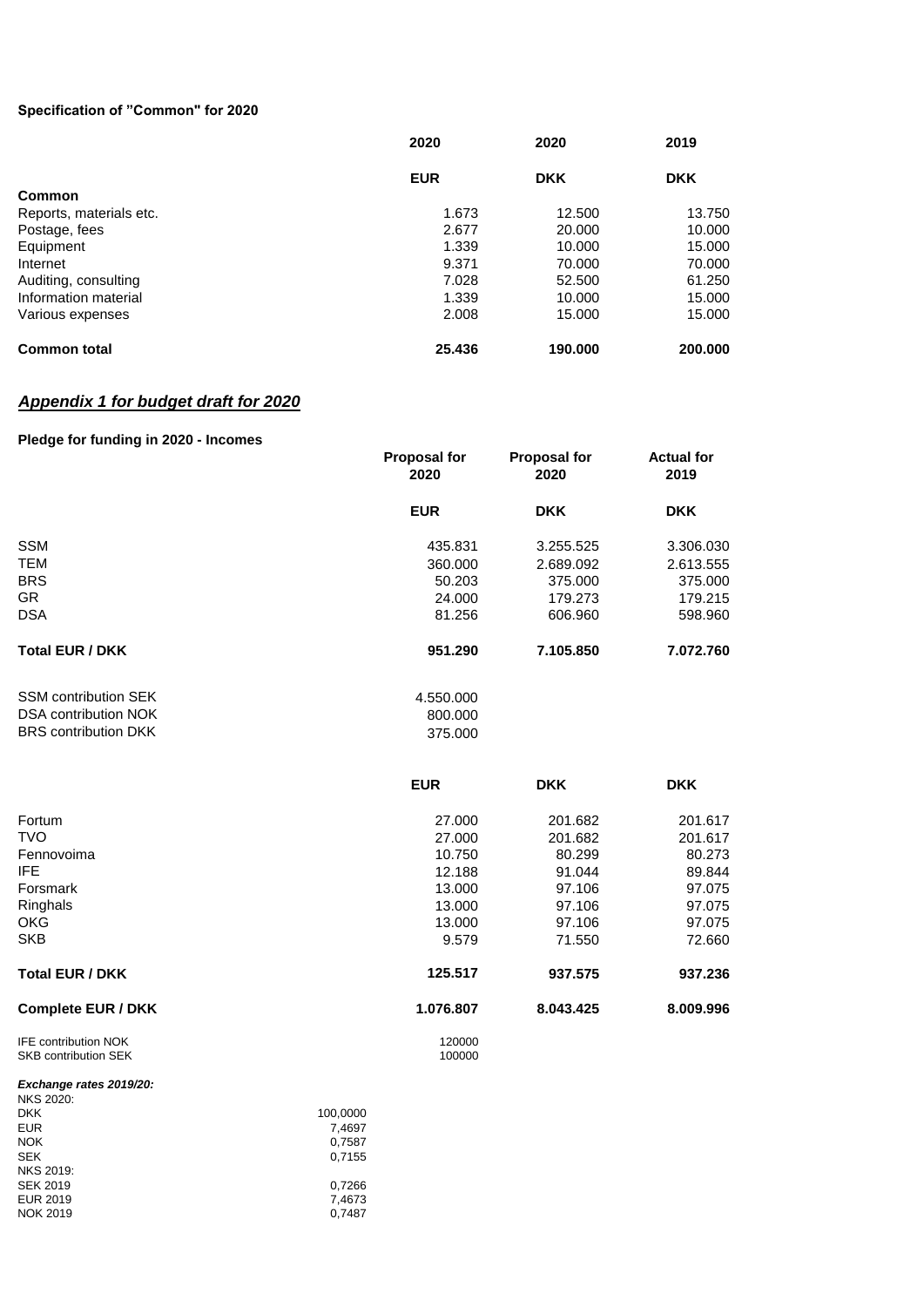#### **Specification of "Common" for 2020**

|                         | 2020       | 2020       | 2019<br><b>DKK</b> |  |
|-------------------------|------------|------------|--------------------|--|
|                         | <b>EUR</b> | <b>DKK</b> |                    |  |
| Common                  |            |            |                    |  |
| Reports, materials etc. | 1.673      | 12.500     | 13.750             |  |
| Postage, fees           | 2.677      | 20,000     | 10.000             |  |
| Equipment               | 1.339      | 10.000     | 15.000             |  |
| Internet                | 9.371      | 70.000     | 70.000             |  |
| Auditing, consulting    | 7.028      | 52,500     | 61.250             |  |
| Information material    | 1.339      | 10.000     | 15.000             |  |
| Various expenses        | 2.008      | 15.000     | 15.000             |  |
| <b>Common total</b>     | 25.436     | 190.000    | 200,000            |  |

# *Appendix 1 for budget draft for 2020*

#### **Pledge for funding in 2020 - Incomes**

|                                                     | <b>Proposal for</b><br>2020 | <b>Proposal for</b><br>2020 | <b>Actual for</b><br>2019 |  |
|-----------------------------------------------------|-----------------------------|-----------------------------|---------------------------|--|
|                                                     | <b>EUR</b>                  | <b>DKK</b>                  | <b>DKK</b>                |  |
| <b>SSM</b>                                          | 435.831                     | 3.255.525                   | 3.306.030                 |  |
| <b>TEM</b>                                          | 360.000                     | 2.689.092                   | 2.613.555                 |  |
| <b>BRS</b>                                          | 50.203                      | 375.000                     | 375.000                   |  |
| <b>GR</b>                                           | 24,000                      | 179.273                     | 179.215                   |  |
| <b>DSA</b>                                          | 81.256                      | 606.960                     | 598.960                   |  |
| <b>Total EUR / DKK</b>                              | 951.290                     | 7.105.850                   | 7.072.760                 |  |
| <b>SSM contribution SEK</b>                         | 4.550.000                   |                             |                           |  |
| <b>DSA contribution NOK</b>                         | 800.000                     |                             |                           |  |
| <b>BRS</b> contribution DKK                         | 375.000                     |                             |                           |  |
|                                                     | <b>EUR</b>                  | <b>DKK</b>                  | <b>DKK</b>                |  |
| Fortum                                              | 27.000                      | 201.682                     | 201.617                   |  |
| <b>TVO</b>                                          | 27.000                      | 201.682                     | 201.617                   |  |
| Fennovoima                                          | 10.750                      | 80.299                      | 80.273                    |  |
| <b>IFE</b>                                          | 12.188                      | 91.044                      | 89.844                    |  |
| Forsmark                                            | 13.000                      | 97.106                      | 97.075                    |  |
| Ringhals                                            | 13.000                      | 97.106                      | 97.075                    |  |
| <b>OKG</b>                                          | 13.000                      | 97.106                      | 97.075                    |  |
| <b>SKB</b>                                          | 9.579                       | 71.550                      | 72.660                    |  |
| <b>Total EUR / DKK</b>                              | 125.517                     | 937.575                     | 937.236                   |  |
| <b>Complete EUR / DKK</b>                           | 1.076.807                   | 8.043.425                   | 8.009.996                 |  |
| IFE contribution NOK<br><b>SKB contribution SEK</b> | 120000<br>100000            |                             |                           |  |

#### *Exchange rates 2019/20:*

| <b>NKS 2020:</b> |          |
|------------------|----------|
| <b>DKK</b>       | 100,0000 |
| <b>EUR</b>       | 7,4697   |
| <b>NOK</b>       | 0,7587   |
| <b>SEK</b>       | 0.7155   |
| <b>NKS 2019:</b> |          |
| <b>SEK 2019</b>  | 0,7266   |
| <b>EUR 2019</b>  | 7,4673   |
| <b>NOK 2019</b>  | 0.7487   |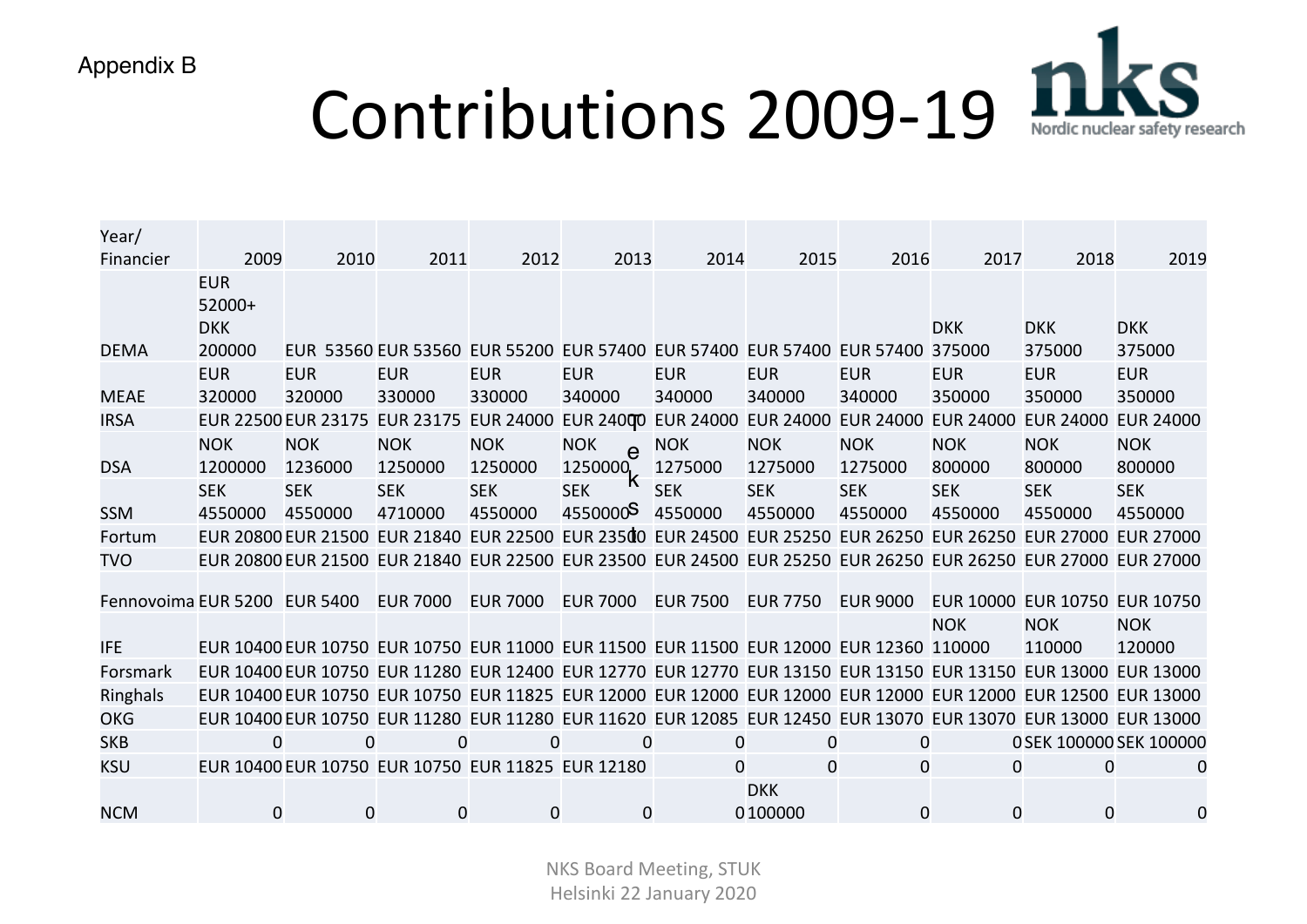| Appendix B                   |                    |                     |                     |                                                                                                               |                      |                 |                                         |                 |                |                               |                         |
|------------------------------|--------------------|---------------------|---------------------|---------------------------------------------------------------------------------------------------------------|----------------------|-----------------|-----------------------------------------|-----------------|----------------|-------------------------------|-------------------------|
|                              |                    |                     |                     | <b>Contributions 2009-19</b>                                                                                  |                      |                 |                                         |                 |                |                               |                         |
|                              |                    |                     |                     |                                                                                                               |                      |                 |                                         |                 |                |                               |                         |
|                              |                    |                     |                     |                                                                                                               |                      |                 |                                         |                 |                |                               |                         |
|                              |                    |                     |                     |                                                                                                               |                      |                 |                                         |                 |                |                               |                         |
| Year/                        |                    |                     |                     |                                                                                                               |                      |                 |                                         |                 |                |                               |                         |
| Financier                    | 2009<br><b>EUR</b> | 2010                | 2011                | 2012                                                                                                          | 2013                 | 2014            | 2015                                    | 2016            | 2017           | 2018                          | 2019                    |
|                              | 52000+             |                     |                     |                                                                                                               |                      |                 |                                         |                 |                |                               |                         |
|                              | <b>DKK</b>         |                     |                     |                                                                                                               |                      |                 |                                         |                 | <b>DKK</b>     | <b>DKK</b>                    | <b>DKK</b>              |
| <b>DEMA</b>                  | 200000             |                     | EUR 53560 EUR 53560 | <b>EUR 55200</b>                                                                                              |                      |                 | EUR 57400 EUR 57400 EUR 57400 EUR 57400 |                 | 375000         | 375000                        | 375000                  |
|                              | <b>EUR</b>         | <b>EUR</b>          | <b>EUR</b>          | <b>EUR</b>                                                                                                    | <b>EUR</b>           | <b>EUR</b>      | <b>EUR</b>                              | <b>EUR</b>      | <b>EUR</b>     | <b>EUR</b>                    | <b>EUR</b>              |
| <b>MEAE</b>                  | 320000             | 320000              | 330000              | 330000                                                                                                        | 340000               | 340000          | 340000                                  | 340000          | 350000         | 350000                        | 350000                  |
| <b>IRSA</b>                  |                    | EUR 22500 EUR 23175 | <b>EUR 23175</b>    | <b>EUR 24000</b>                                                                                              | <b>EUR 24000</b>     |                 | EUR 24000 EUR 24000 EUR 24000 EUR 24000 |                 |                | EUR 24000 EUR 24000           |                         |
|                              | <b>NOK</b>         | <b>NOK</b>          | <b>NOK</b>          | <b>NOK</b>                                                                                                    | <b>NOK</b>           | <b>NOK</b>      | <b>NOK</b>                              | <b>NOK</b>      | <b>NOK</b>     | <b>NOK</b>                    | <b>NOK</b>              |
| <b>DSA</b>                   | 1200000            | 1236000             | 1250000             | 1250000                                                                                                       | 1250000              | 1275000         | 1275000                                 | 1275000         | 800000         | 800000                        | 800000                  |
|                              | <b>SEK</b>         | <b>SEK</b>          | <b>SEK</b>          | <b>SEK</b>                                                                                                    | <b>SEK</b>           | <b>SEK</b>      | <b>SEK</b>                              | <b>SEK</b>      | <b>SEK</b>     | <b>SEK</b>                    | <b>SEK</b>              |
| <b>SSM</b>                   | 4550000            | 4550000             | 4710000             | 4550000                                                                                                       | 4550000 <sup>S</sup> | 4550000         | 4550000                                 | 4550000         | 4550000        | 4550000                       | 4550000                 |
| Fortum                       |                    |                     |                     | EUR 20800 EUR 21500 EUR 21840 EUR 22500 EUR 23500 EUR 24500 EUR 25250 EUR 26250 EUR 26250 EUR 27000 EUR 27000 |                      |                 |                                         |                 |                |                               |                         |
| <b>TVO</b>                   |                    |                     |                     | EUR 20800 EUR 21500 EUR 21840 EUR 22500 EUR 23500 EUR 24500 EUR 25250 EUR 26250 EUR 26250 EUR 27000 EUR 27000 |                      |                 |                                         |                 |                |                               |                         |
| Fennovoima EUR 5200 EUR 5400 |                    |                     | <b>EUR 7000</b>     | <b>EUR 7000</b>                                                                                               | <b>EUR 7000</b>      | <b>EUR 7500</b> | <b>EUR 7750</b>                         | <b>EUR 9000</b> |                | EUR 10000 EUR 10750 EUR 10750 |                         |
|                              |                    |                     |                     |                                                                                                               |                      |                 |                                         |                 | <b>NOK</b>     | <b>NOK</b>                    | <b>NOK</b>              |
| <b>IFE</b>                   |                    |                     |                     | EUR 10400 EUR 10750 EUR 10750 EUR 11000 EUR 11500 EUR 11500 EUR 12000 EUR 12360 110000                        |                      |                 |                                         |                 |                | 110000                        | 120000                  |
| Forsmark                     |                    |                     |                     | EUR 10400 EUR 10750 EUR 11280 EUR 12400 EUR 12770 EUR 12770 EUR 13150 EUR 13150 EUR 13150 EUR 13000 EUR 13000 |                      |                 |                                         |                 |                |                               |                         |
| Ringhals                     |                    |                     |                     | EUR 10400 EUR 10750 EUR 10750 EUR 11825 EUR 12000 EUR 12000 EUR 12000 EUR 12000 EUR 12000 EUR 12500 EUR 13000 |                      |                 |                                         |                 |                |                               |                         |
| <b>OKG</b>                   |                    |                     |                     | EUR 10400 EUR 10750 EUR 11280 EUR 11280 EUR 11620 EUR 12085 EUR 12450 EUR 13070 EUR 13070 EUR 13000 EUR 13000 |                      |                 |                                         |                 |                |                               |                         |
| <b>SKB</b>                   | $\Omega$           | 0                   | $\overline{0}$      | 0                                                                                                             | 0                    | 0               | 0                                       | $\overline{0}$  |                |                               | 0 SEK 100000 SEK 100000 |
| <b>KSU</b>                   |                    |                     |                     | EUR 10400 EUR 10750 EUR 10750 EUR 11825 EUR 12180                                                             |                      | $\Omega$        | $\overline{0}$                          | $\overline{0}$  | 0              | 0                             | 0                       |
|                              |                    |                     |                     |                                                                                                               |                      |                 | <b>DKK</b>                              |                 |                |                               |                         |
| <b>NCM</b>                   | $\mathbf 0$        | 0                   | $\overline{0}$      | $\overline{0}$                                                                                                | $\overline{0}$       |                 | 0 100000                                | $\overline{0}$  | $\overline{0}$ | 0                             | $\overline{0}$          |

NKS Board Meeting, STUK Helsinki 22 January 2020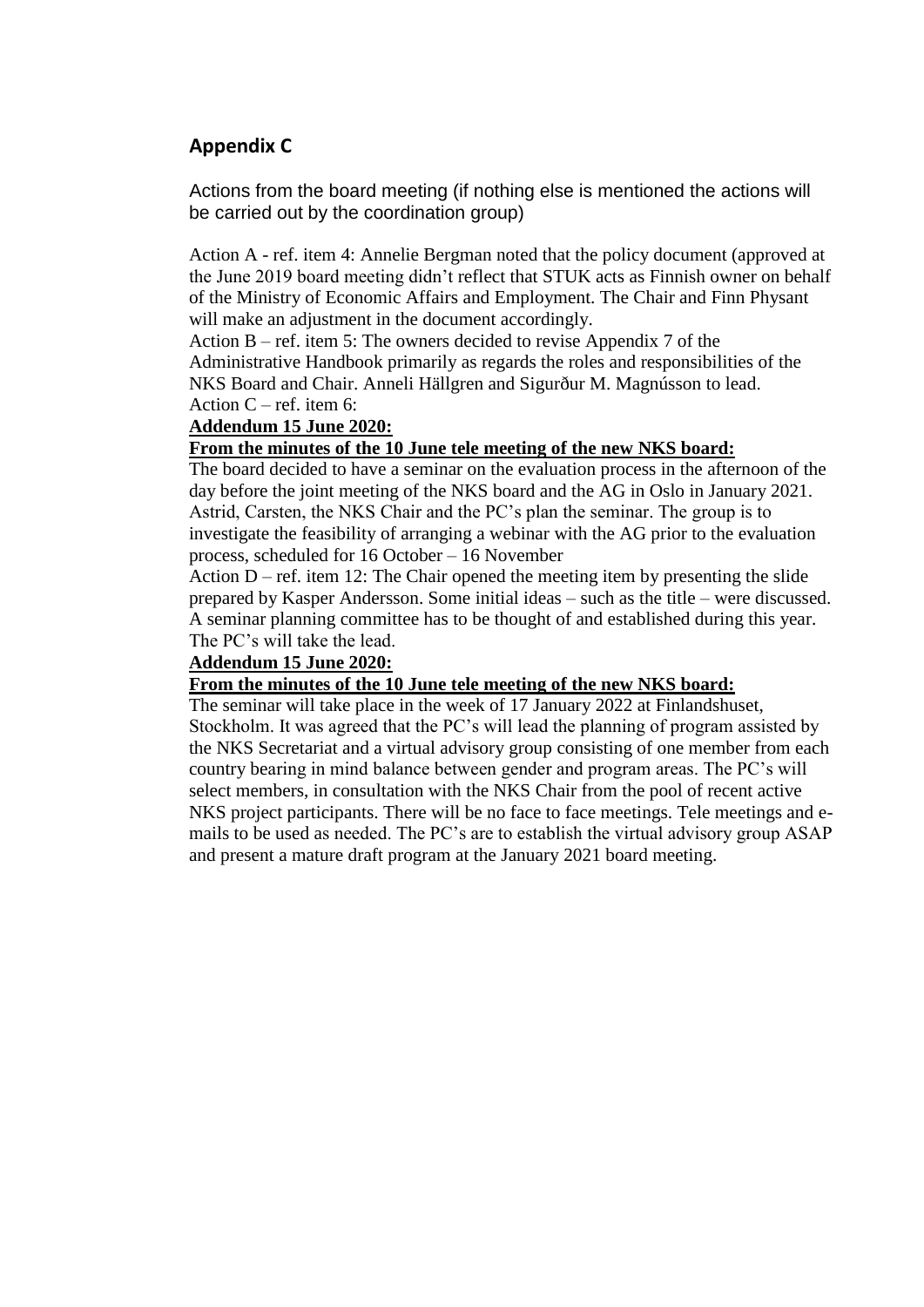# **Appendix C**

Actions from the board meeting (if nothing else is mentioned the actions will be carried out by the coordination group)

Action A - ref. item 4: Annelie Bergman noted that the policy document (approved at the June 2019 board meeting didn't reflect that STUK acts as Finnish owner on behalf of the Ministry of Economic Affairs and Employment. The Chair and Finn Physant will make an adjustment in the document accordingly.

Action B – ref. item 5: The owners decided to revise Appendix 7 of the Administrative Handbook primarily as regards the roles and responsibilities of the NKS Board and Chair. Anneli Hällgren and Sigurður M. Magnússon to lead. Action  $C$  – ref. item 6:

### **Addendum 15 June 2020:**

### **From the minutes of the 10 June tele meeting of the new NKS board:**

The board decided to have a seminar on the evaluation process in the afternoon of the day before the joint meeting of the NKS board and the AG in Oslo in January 2021. Astrid, Carsten, the NKS Chair and the PC's plan the seminar. The group is to investigate the feasibility of arranging a webinar with the AG prior to the evaluation process, scheduled for 16 October – 16 November

Action  $D$  – ref. item 12: The Chair opened the meeting item by presenting the slide prepared by Kasper Andersson. Some initial ideas – such as the title – were discussed. A seminar planning committee has to be thought of and established during this year. The PC's will take the lead.

# **Addendum 15 June 2020:**

#### **From the minutes of the 10 June tele meeting of the new NKS board:**

The seminar will take place in the week of 17 January 2022 at Finlandshuset, Stockholm. It was agreed that the PC's will lead the planning of program assisted by the NKS Secretariat and a virtual advisory group consisting of one member from each country bearing in mind balance between gender and program areas. The PC's will select members, in consultation with the NKS Chair from the pool of recent active NKS project participants. There will be no face to face meetings. Tele meetings and emails to be used as needed. The PC's are to establish the virtual advisory group ASAP and present a mature draft program at the January 2021 board meeting.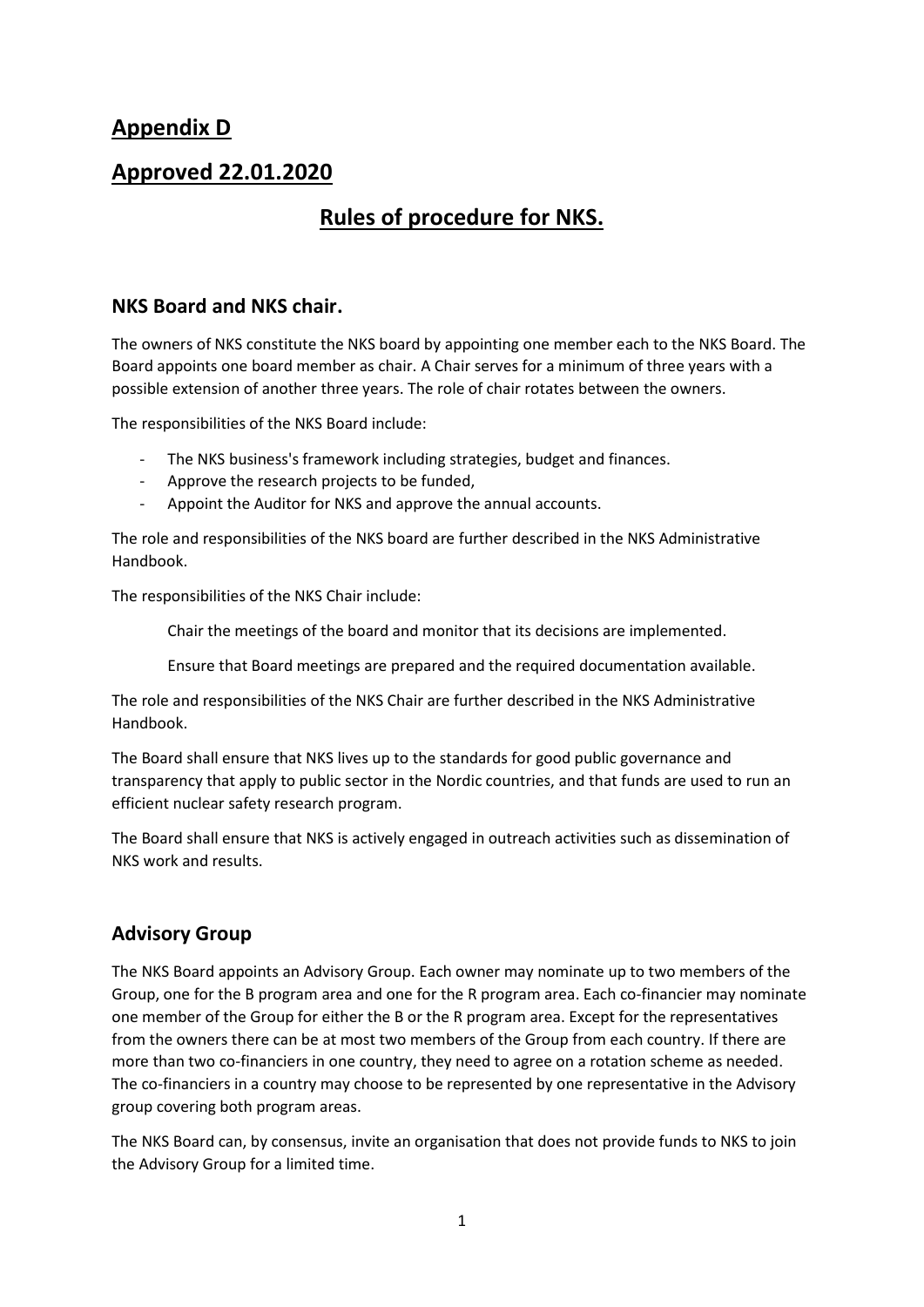# **Appendix D**

# **Approved 22.01.2020**

# **Rules of procedure for NKS.**

# **NKS Board and NKS chair.**

The owners of NKS constitute the NKS board by appointing one member each to the NKS Board. The Board appoints one board member as chair. A Chair serves for a minimum of three years with a possible extension of another three years. The role of chair rotates between the owners.

The responsibilities of the NKS Board include:

- The NKS business's framework including strategies, budget and finances.
- Approve the research projects to be funded,
- Appoint the Auditor for NKS and approve the annual accounts.

The role and responsibilities of the NKS board are further described in the NKS Administrative Handbook.

The responsibilities of the NKS Chair include:

Chair the meetings of the board and monitor that its decisions are implemented.

Ensure that Board meetings are prepared and the required documentation available.

The role and responsibilities of the NKS Chair are further described in the NKS Administrative Handbook.

The Board shall ensure that NKS lives up to the standards for good public governance and transparency that apply to public sector in the Nordic countries, and that funds are used to run an efficient nuclear safety research program.

The Board shall ensure that NKS is actively engaged in outreach activities such as dissemination of NKS work and results.

# **Advisory Group**

The NKS Board appoints an Advisory Group. Each owner may nominate up to two members of the Group, one for the B program area and one for the R program area. Each co-financier may nominate one member of the Group for either the B or the R program area. Except for the representatives from the owners there can be at most two members of the Group from each country. If there are more than two co-financiers in one country, they need to agree on a rotation scheme as needed. The co-financiers in a country may choose to be represented by one representative in the Advisory group covering both program areas.

The NKS Board can, by consensus, invite an organisation that does not provide funds to NKS to join the Advisory Group for a limited time.